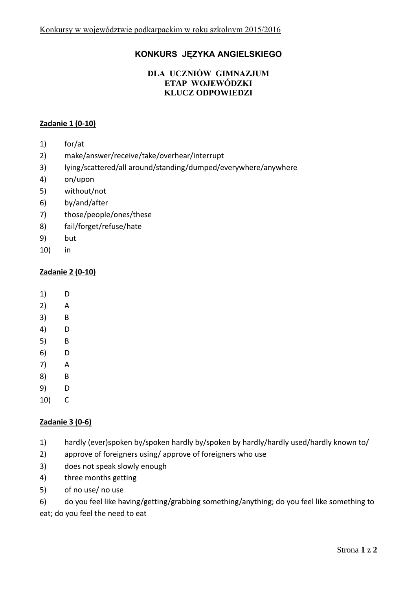# **KONKURS JĘZYKA ANGIELSKIEGO**

### **DLA UCZNIÓW GIMNAZJUM ETAP WOJEWÓDZKI KLUCZ ODPOWIEDZI**

### **Zadanie 1 (0-10)**

- 1) for/at
- 2) make/answer/receive/take/overhear/interrupt
- 3) lying/scattered/all around/standing/dumped/everywhere/anywhere
- 4) on/upon
- 5) without/not
- 6) by/and/after
- 7) those/people/ones/these
- 8) fail/forget/refuse/hate
- 9) but
- 10) in

#### **Zadanie 2 (0-10)**

- 1) D
- 2) A
- 3) B
- 4) D
- 5) B
- 6) D
- 7) A
- 8) B
- 9) D
- 10) C

### **Zadanie 3 (0-6)**

- 1) hardly (ever)spoken by/spoken hardly by/spoken by hardly/hardly used/hardly known to/
- 2) approve of foreigners using/ approve of foreigners who use
- 3) does not speak slowly enough
- 4) three months getting
- 5) of no use/ no use
- 6) do you feel like having/getting/grabbing something/anything; do you feel like something to

eat; do you feel the need to eat